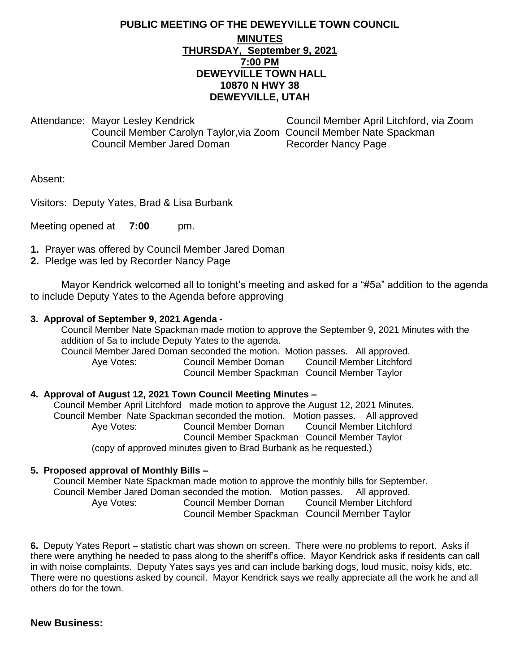## **PUBLIC MEETING OF THE DEWEYVILLE TOWN COUNCIL MINUTES THURSDAY, September 9, 2021 7:00 PM DEWEYVILLE TOWN HALL 10870 N HWY 38 DEWEYVILLE, UTAH**

Attendance: Mayor Lesley Kendrick Council Member April Litchford, via Zoom Council Member Carolyn Taylor,via Zoom Council Member Nate Spackman Council Member Jared Doman Recorder Nancy Page

Absent:

Visitors: Deputy Yates, Brad & Lisa Burbank

Meeting opened at **7:00** pm.

- **1.** Prayer was offered by Council Member Jared Doman
- **2.** Pledge was led by Recorder Nancy Page

Mayor Kendrick welcomed all to tonight's meeting and asked for a "#5a" addition to the agenda to include Deputy Yates to the Agenda before approving

#### **3. Approval of September 9, 2021 Agenda -**

Council Member Nate Spackman made motion to approve the September 9, 2021 Minutes with the addition of 5a to include Deputy Yates to the agenda. Council Member Jared Doman seconded the motion. Motion passes. All approved.

Aye Votes: Council Member Doman Council Member Litchford Council Member Spackman Council Member Taylor

#### **4. Approval of August 12, 2021 Town Council Meeting Minutes –**

Council Member April Litchford made motion to approve the August 12, 2021 Minutes. Council Member Nate Spackman seconded the motion. Motion passes. All approved Aye Votes: Council Member Doman Council Member Litchford Council Member Spackman Council Member Taylor (copy of approved minutes given to Brad Burbank as he requested.)

#### **5. Proposed approval of Monthly Bills –**

Council Member Nate Spackman made motion to approve the monthly bills for September. Council Member Jared Doman seconded the motion. Motion passes. All approved. Aye Votes: Council Member Doman Council Member Litchford Council Member Spackman Council Member Taylor

**6.** Deputy Yates Report – statistic chart was shown on screen. There were no problems to report. Asks if there were anything he needed to pass along to the sheriff's office. Mayor Kendrick asks if residents can call in with noise complaints. Deputy Yates says yes and can include barking dogs, loud music, noisy kids, etc. There were no questions asked by council. Mayor Kendrick says we really appreciate all the work he and all others do for the town.

#### **New Business:**